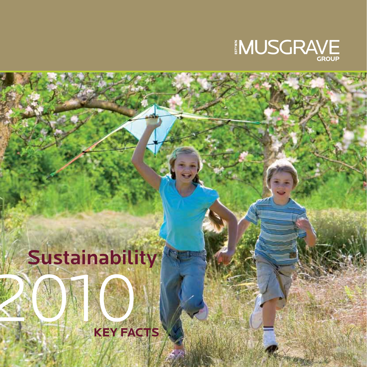

# **Sustainability**

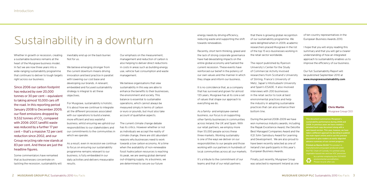Whether in growth or recession, creating a sustainable business remains at the heart of the Musgrave business model. In fact we are now three years into a wide-ranging sustainability programme that continues to deliver to tough targets right across our business.

Some commentators have remarked that as businesses concentrate on tackling the recession, sustainability will inevitably end up on the back burner. Not for us.

We believe emerging stronger from the current downturn means driving innovation and best practice in parallel with lowering our cost base and developing our brands. A relevant, embedded and focused sustainability strategy is integral to all these objectives.

For Musgrave, sustainability is holistic. It is about how we continue to integrate all the different processes associated with our operations to build a leaner, more efficient and less wasteful business, whilst ensuring we uphold our responsibilities to our stakeholders and our commitments to the communities in which we operate.

As a result, even in recession we continue to focus on ensuring our sustainability programme remains relevant to our business, is fully embedded in our daily activities and delivers measurable results.

Our emphasis on the measurement, management and reduction of carbon is also helping to deliver direct reductions in costs in areas such as building energy use, vehicle fuel consumption and waste management.

We believe organisations that view sustainability in this way are able to enhance the benefits to their businesses, the environment and society. This balance is essential to sustainable operations, which cannot always be measured simply in terms of carbon or euro or pounds, but must also take account of qualitative aspects.

The current climate change debate has its critics. However whether or not as individuals we accept the reality of climate change, there are still abundant reasons why businesses need to work towards a low carbon economy. At a time when the availability of non-renewable fossil hydrocarbon resources is reaching its peak, we are seeing global demand out-stripping supply. As a business, we are determined to secure our future

energy needs by driving efficiency, reducing waste and supporting the shift towards renewables.



**Chris Martin** Musgrave Group CEO

Recently, short term thinking, greed and the lack of strong corporate governance have had devastating impacts on the entire global economy and fuelled the current recession. These events have reinforced our belief in the potency of our own values and the manner in which they shape and inform our business.

It is no coincidence that, as a company that has survived and grown for almost 135 years, Musgrave has at its core a set of values that shape our approach to everything we do.

As a family- and employee-owned business, our focus is on supporting other family businesses in communities across Ireland, the UK and Spain. With our retail partners, we employ more than 55,000 people across these three markets. Working sustainably is one of the ways we deliver on our responsibilities to our people and those working with our partners in hundreds of local communities across all our markets.

It's a tribute to the commitment of our teams and that of our retail partners

that there is growing global recognition of our sustainability programme. We were delighted when in 2009, academic researchers placed Musgrave in the list of the top 15 eco-businesses working in the retail sector worldwide.

The report published by Ryerson University's Center for the Study of Commercial Activity involved researchers from Scotland's University of Stirling, France's University of Metz, Japan's Hitotsubashi University and Spain's ESADE. It also involved interviews with 200 businesses in the retail sector to look at best environmental practices and help the industry in adopting sustainable practices that can also enhance their bottom line.

During the period 2008-2009 we have won numerous industry awards, including the Repak Excellence Award, the Deloitte Best Managed Companies Award and the IGD John Sainsbury Award for Learning and Development. We are also proud to have been recently selected as one of Ireland's ten participants in this year's European Business Awards.

Finally, just recently, Musgrave Group was selected to represent Ireland as one of ten country representatives in the European Business Awards 2010.

I hope that you will enjoy reading this summary and that you will get a clearer understanding of how an integrated approach to sustainability enables us to improve the efficiency of our business.

Our full Sustainability Report will be published September 2010 at www.musgravesustainability.com

This document summarises Musgrave's sustainability performance during 2008 and 2009. In previous years we have created a detailed hard-copy document along with a taken a different approach by deciding to publish the main report online and to use this preview document to give readers an easily-digested advance summary of our current progress.

**Printed on Revive 50:50** This product is manufactured using paper produced under



by a printer employing the ISO14001

## Sustainability in a downturn

Since 2006 our carbon footprint has reduced by over 20,000 tonnes or 30 per cent – equivalent to taking almost 10,000 cars off the road. In this reporting period January 2008 to December 2009, our fleet emissions dropped by 9,532 tonnes of CO<sub>2</sub> compared with 2006-2007, landfill waste was reduced by a further 17 per cent – that's a massive 72 per cent reduction since 2002, and our Group recycling rate now stands at 83 per cent. And these are just the headline figures.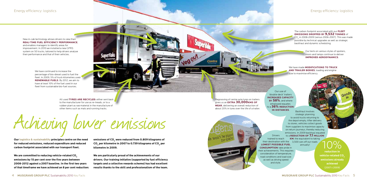**our logistics & sustainability principles centre on the need for reduced emissions, reduced expenditure and reduced**  carbon footprint associated with our transport fleet.

Achieving lower emissions

We are committed to reducing vehicle-related **CO**<sub>2</sub> emissions by 15 per cent over the five years between 2008-2012 against a 2007 baseline. In the first two years **of that timeframe we have achieved an 8 per cent reduction:**  emissions of CO<sub>2</sub> were reduced from 0.809 kilograms of CO<sub>2</sub> per kilometre in 2007 to 0.739 kilograms of CO<sub>2</sub> per **kilometre in 2009.**

We have continued to increase the percentage of bio-diesel used to fuel the fleet. In 2009, 5% of truck-kilometres used **RENEWABLE FUELS**. By 2012, we aim to have at least 10% of the fuel used in our fleet from sustainable bio-fuel sources.

> **We are particularly proud of the achievements of our**  drivers. Our training initiative (supported by fuel efficiency **targets and a collective rewards scheme) has had excellent results thanks to the skill and professionalism of the team.**

The carbon footprint associated with our **FLEET EMISSIONS DROPPED BY 9,532 TONNES** of CO2 in 2008-2009 (versus 2006-2007). This was made possible by technical upgrades as well as strategic backhaul and dynamic scheduling.



Centra



All used **TYRES ARE RECYCLED**; either sent back to the manufacturer for use as re-treads, or to a rubber plant as raw material in the manufacture of other items such as mats and running tracks.

> their destination with the 3,500 cars off our roads **Drivers** trained to reach **LOWEST POSSIBLE FUEL CONSUMPTION** take pride in their achievements. This requires consideration of temperature, road conditions and load size as well as driving speed and style.

## Energy efficiency: logistics

We have made **MODIFICATIONS TO TRUCK AND TRAILER BODIES**, loading and engine size to maximise efficiency.

Our tests on various styles of spoilers, visors and lamps continue to deliver **IMPROVED AERODYNAMICS**.

New in-cab technology allows drivers to view their **REAL-TIME FUEL EFFICIENCY PERFORMANCE**,

and enables managers to identify areas for improvement. In 2010 we installed a new GPRS system on 50 trucks, tailored to help drivers analyse their performance and that of their vehicles.

> Our use of 'double deck' trailers **INCREASES CAPACITY BY 58%**, and where employed equates to a **36% REDUCTION**

**I**Backhaul involves strategic planning to avoid trucks returning to the depot empty. After delivery to stores, vehicles collect goods from suppliers to maximise capacity on return journeys, thereby reducing emissions. In 2009 backhaul equated to a **REDUCTION OF 7.1 MILLION KM**; the equivalent to taking

annually!

10% **reduction in vehicle-related Co2 emissions already** 

> **achieved**  (2007 v 2009)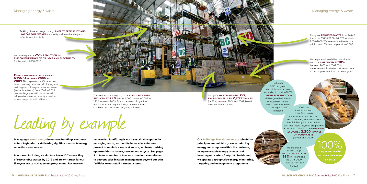

**our buildings & environment sustainability principles commit Musgrave to reducing energy consumption within the business, using renewable energy sources and lowering our carbon footprint. To this end, we operate a group-wide energy monitoring, targeting and management programme.**

Leading by example

**Managing waste & energy in our own buildings continues**  to be a high priority, delivering significant waste & energy **reductions year on year.**

### **ENERGY USE IN BUILDINGS FELL BY 6.156 GJ BETWEEN 2006 AND**

**In our own facilities, we aim to achieve 100% recycling of recoverable wastes by 2012 and are on-target for our fi ve-year waste management programme. Because we** 

**believe that landfi lling is not a sustainable option for managing waste, we identify innovative solutions to prevent or minimise waste at source, while maximising opportunities to re-use, recover and recycle. See pages 8 to 9 for examples of how we extend our commitment to best-practice in waste management beyond our own facilities to our retail partners' stores.** 

Musgrave **WASTE-RELATED CO2 EMISSIONS FELL BY 2,703 TONNES** (or 65%) between 2006 and 2009, based on waste sent to landfill.

**2009**. This represents a 4% reduction based on energy use per m2 of Musgrave building stock. Energy use has increased (in absolute terms) from 2007 to 2009 due to a large proportional increase in refrigeration/freezer capacity, as well as some changes in shift patterns.

## Managing energy & waste Managing energy & waste

Tackling climate change through **ENERGY EFFICIENCY AND LOW CARBON DESIGN** is a priority in all new building and refurbishment projects.

> The amount of waste going to **LANDFILL HAS BEEN REDUCED BY 72%** – from 6,000 tonnes in 2002 to 1,700 tonnes in 2009. This is the result of significant reductions in waste generation, in absolute terms, combined with increased recycling volumes.

Waste generation relative to business output was **REDUCED BY 10%**  between 2007 and 2009. This measurement illustrates that we continue to de-couple waste from business growth.

Musgrave **REDUCED WASTE** from 24,810 tonnes in 2006-2007 to 20, 678 tonnes in 2008-2009. We have reduced waste by a minimum of 5% year on year since 2005.

We have targeted a **25% REDUCTION IN THE CONSUMPTION OF OIL, GAS AND ELECTRICITY** for the period 2008-2012.

> 2009 saw the introduction of the Food Waste Regulations in RoI, with the aim of diverting food waste from landfill. Musgrave launched its own food waste recycling programme in 2005 and since that time **WE HAVE RECOVERED 2,200 TONNES**

**OF FOOD WASTE** (to year-end 2009).

We are proud of our Group **RECYCLING RATE OF 83%** in Ireland and the UK in 2009. This is up from 53% in 2002.

100% **target to recycle recoverable wastes by 2012**

In March 2010 our green electricity contract was extended to provide 100% **GREEN ELECTRICITY** to all Musgrave facilities on the island of ireland. This is also available to all Musgrave staff in Ireland.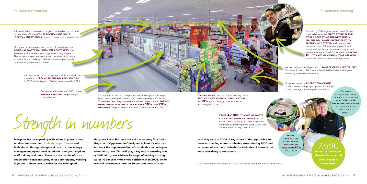300 retailers in Ireland have participated in Musgrave's 'Energy Map' course, designed to help staff use energy more efficiently. These have been very successful and have helped deliver **ENERGY PERFORMANCE SAVINGS OF BETWEEN 10% AND 20% IN-STORE**. We plan to train a further 200 retailers during 2010.

**Musgrave has a range of specifications in place to help retailers improve the sustainability performance of their stores; through design and construction, energy management, operational standards, energy champions, staff training and more. These are the results of close cooperation between stores, across our regions, working together to share best practice for the wider good.**

**Musgrave Retail Partners Ireland has recently finalised a 'register of opportunities' designed to identify, evaluate and track the implementation of sustainable technologies across Musgrave. This will play a key role in ensuring that by 2012 Musgrave achieves its target of making existing**  stores 10 per cent more energy efficient than 2008, while new and re-vamped stores be 30 per cent more efficient

to help retailers adopt appropriate technology to best manage their energy consumption.

We are working to ensure that all existing stores **REDUCE THEIR ENERGY CONSUMPTION BY 10%** against energy consumption for the base year 2008.

All new build and renovation projects undertaken by our retail **partners benefit from CONSTRUCTION AND BUILD RECOMMENDATIONS** designed to maximise energy efficiency.

> **than they were in 2008. A key aspect of the approach is to focus on opening more sustainable stores during 2010 and to communicate the sustainability attributes of these stores more effectively to consumers.**

We work with our retail partners to **SOURCE GREEN ELECTRICITY** for stores. In March 2010 we implemented an Ireland wide green electricity initiative with Airtricity.

Musgrave has pioneered the concept of 'one-stop-shop' **REGIONAL WASTE MANAGEMENT CONTRACTS**, which save money for retailers and support recycling targets. The waste management contract model shows that being sustainable also makes good financial sense, particularly crucial during recessionary times.

> All new stores built to Musgrave specifications will be more than **30% MORE ENERGY EFFICIENT** than<br>in 2008, with a target of 50% to be achieved by 2020.\* in 2008, with a target of 50% to be achieved by 2020.\* Musgrave resource **ENERGY CHAMPIONS**

Our revamped stores are 15-30% more **ENERGY EFFICIENT** depending on scale of revamp.

Our waste management policy requires that more and more **CONSUMER RECYCLING FACILITIES** are provided at our retail partners'

stores.

\*This does not include stores that are transferring brand name from other groups.

## Sustainable retailing Sustainable retailing

7,590

**tonnes of food waste diverted from landfill by our retailers since 2005**

Strength in numbers

David Knight's Budgens store in West Sussex is set to become the **FIRST STORE IN THE WORLD OPERATING THE NEW SIMPLY AIR ENERGY-SAVING REFRIGERATION TECHNOLOGY SYSTEM** and, in turn, lead the way as one of the most energy efficient stores in Great Britain, as part of a major store development plan. David's store will be **SAVING 105 TONNES OF CARBON YEAR ON YEAR**, even with a 50% increase in refrigeration.

**OVER 42,000 TONNES OF WASTE COLLECTED FROM RETAILERS** as part of our 'one-stop-shop' waste management contracts during the period 2008-2009, with an average recycling rate of 67%.

> **WASTE GENERATION BY RETAILERS HAS FALLEN MORE THAN 30%** 2007-2009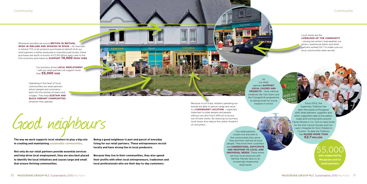### Community

Since 2002, the SuperValu Triathlon has seen thousands of Musgrave staff, retail partners, suppliers and other supporters take to the waters, roads and running tracks around Farran Woods in Co. Cork to raise funds for the Irish Cancer Society and Our Lady's Hospital for Sick Children in Crumlin. To date the Triathlon has **RAISED MORE THAN €2.7 MILLION**.

Good neighbours

**The way we work supports local retailers to play a big role in creating and maintaining sustainable communities.**

**Not only do our retail partners provide essential services and help drive local employment, they are also best placed to identify the local initiatives and causes large and small that ensure thriving communities.**

**Being a good neighbour is part and parcel of everyday living for our retail partners. These entrepreneurs recruit locally and have strong ties to local producers.** 

**CENTRA** 

**Because they live in their communities, they also spend**  their profits with other local entrepreneurs, tradesmen and **local professionals who are their day-to-day customers.**

Whenever possible we source **BRITISH IN BRITAIN, IRISH IN IRELAND AND SPANISH IN SPAIN** – for example, in Ireland 75% of all products purchased on behalf of all our retail partners is either produced or manufactured locally; these purchases are worth in excess of €2.85 billion every year to the Irish economy and indirectly **SUPPORT 14,000 IRISH JOBS**.

> Our business drives **LOCAL EMPLOYMENT** – with our retail partners we support more than **55,000 JOBS**

### Local stores are the **LIFEBLOOD OF THE COMMUNITY**

– during last winter's bad weather, our drivers, warehouse teams and retail partners worked 24/7 to make sure our local communities were served.

Operating in the heart of local communities our retail partners attract people and commerce back into the centres of towns and villages. They help **SUSTAIN AND BUILD VIBRANT COMMUNITIES** wherever they operate.

All our retail partners **SUPPORT LOCAL CAUSES AND PROJECTS** – from national initiatives like Tidy Towns and the Change4Life programme, to raising funds for a local hospice or school

Our retail partners usually live and work in the communities they serve. They and their staff are all local people. They know their customers and **UNDERSTAND, ANTICIPATE AND RESPOND TO LOCAL AND INDIVIDUAL NEEDS**. These stores are truly local resources with familiar, friendly faces in an increasingly impersonal retail world.

Because of our scale, retailers operating our brands are able to deliver range and value in a **CONVENIENT LOCATION** – especially important to older people and people without cars who find it difficult to access out-of-town stores. By reducing car journeys local stores also reduce the carbon footprint of consumers.

**CENTRA** 

55,000 **jobs supported by Musgrave and its retail partners**